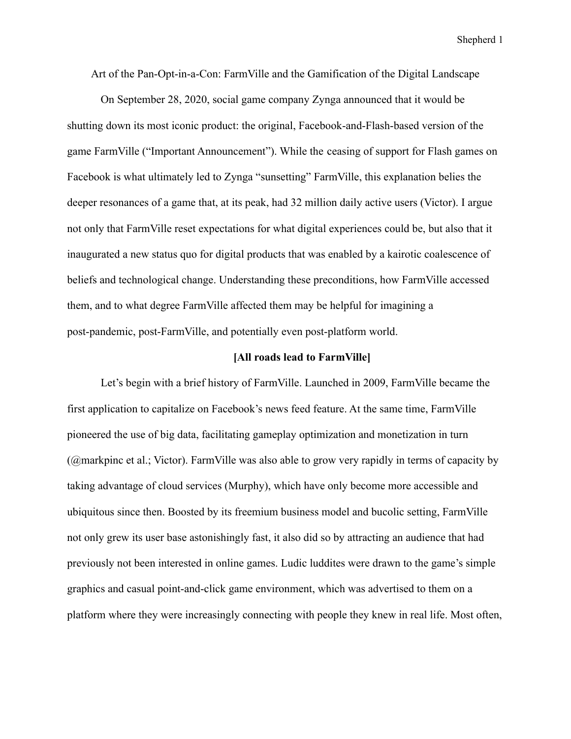Art of the Pan-Opt-in-a-Con: FarmVille and the Gamification of the Digital Landscape

On September 28, 2020, social game company Zynga announced that it would be shutting down its most iconic product: the original, Facebook-and-Flash-based version of the game FarmVille ("Important Announcement"). While the ceasing of support for Flash games on Facebook is what ultimately led to Zynga "sunsetting" FarmVille, this explanation belies the deeper resonances of a game that, at its peak, had 32 million daily active users (Victor). I argue not only that FarmVille reset expectations for what digital experiences could be, but also that it inaugurated a new status quo for digital products that was enabled by a kairotic coalescence of beliefs and technological change. Understanding these preconditions, how FarmVille accessed them, and to what degree FarmVille affected them may be helpful for imagining a post-pandemic, post-FarmVille, and potentially even post-platform world.

## **[All roads lead to FarmVille]**

Let's begin with a brief history of FarmVille. Launched in 2009, FarmVille became the first application to capitalize on Facebook's news feed feature. At the same time, FarmVille pioneered the use of big data, facilitating gameplay optimization and monetization in turn (@markpinc et al.; Victor). FarmVille was also able to grow very rapidly in terms of capacity by taking advantage of cloud services (Murphy), which have only become more accessible and ubiquitous since then. Boosted by its freemium business model and bucolic setting, FarmVille not only grew its user base astonishingly fast, it also did so by attracting an audience that had previously not been interested in online games. Ludic luddites were drawn to the game's simple graphics and casual point-and-click game environment, which was advertised to them on a platform where they were increasingly connecting with people they knew in real life. Most often,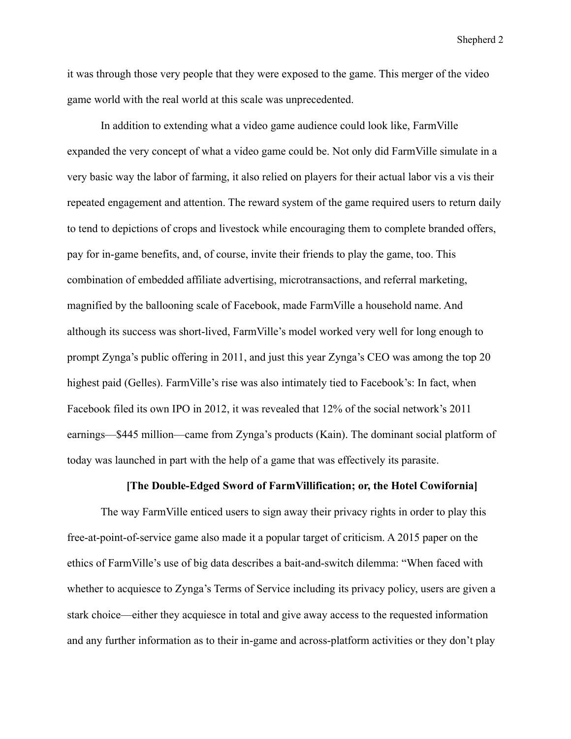it was through those very people that they were exposed to the game. This merger of the video game world with the real world at this scale was unprecedented.

In addition to extending what a video game audience could look like, FarmVille expanded the very concept of what a video game could be. Not only did FarmVille simulate in a very basic way the labor of farming, it also relied on players for their actual labor vis a vis their repeated engagement and attention. The reward system of the game required users to return daily to tend to depictions of crops and livestock while encouraging them to complete branded offers, pay for in-game benefits, and, of course, invite their friends to play the game, too. This combination of embedded affiliate advertising, microtransactions, and referral marketing, magnified by the ballooning scale of Facebook, made FarmVille a household name. And although its success was short-lived, FarmVille's model worked very well for long enough to prompt Zynga's public offering in 2011, and just this year Zynga's CEO was among the top 20 highest paid (Gelles). FarmVille's rise was also intimately tied to Facebook's: In fact, when Facebook filed its own IPO in 2012, it was revealed that 12% of the social network's 2011 earnings—\$445 million—came from Zynga's products (Kain). The dominant social platform of today was launched in part with the help of a game that was effectively its parasite.

# **[The Double-Edged Sword of FarmVillification; or, the Hotel Cowifornia]**

The way FarmVille enticed users to sign away their privacy rights in order to play this free-at-point-of-service game also made it a popular target of criticism. A 2015 paper on the ethics of FarmVille's use of big data describes a bait-and-switch dilemma: "When faced with whether to acquiesce to Zynga's Terms of Service including its privacy policy, users are given a stark choice—either they acquiesce in total and give away access to the requested information and any further information as to their in-game and across-platform activities or they don't play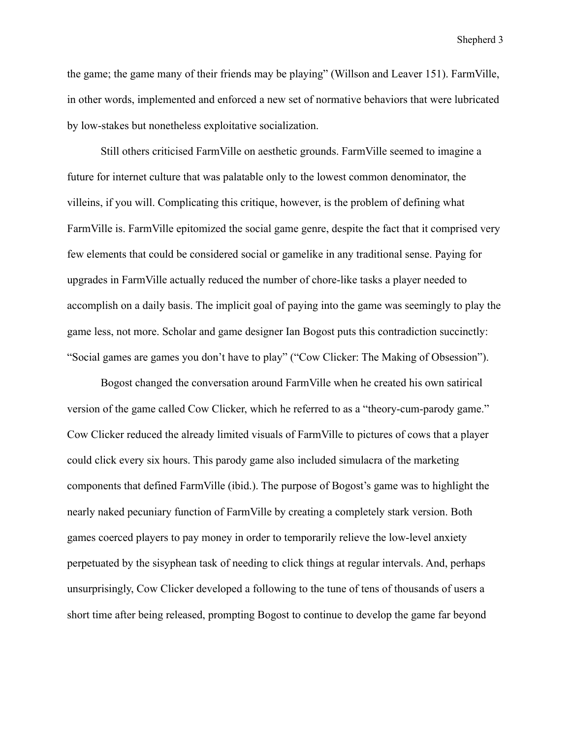the game; the game many of their friends may be playing" (Willson and Leaver 151). FarmVille, in other words, implemented and enforced a new set of normative behaviors that were lubricated by low-stakes but nonetheless exploitative socialization.

Still others criticised FarmVille on aesthetic grounds. FarmVille seemed to imagine a future for internet culture that was palatable only to the lowest common denominator, the villeins, if you will. Complicating this critique, however, is the problem of defining what FarmVille is. FarmVille epitomized the social game genre, despite the fact that it comprised very few elements that could be considered social or gamelike in any traditional sense. Paying for upgrades in FarmVille actually reduced the number of chore-like tasks a player needed to accomplish on a daily basis. The implicit goal of paying into the game was seemingly to play the game less, not more. Scholar and game designer Ian Bogost puts this contradiction succinctly: "Social games are games you don't have to play" ("Cow Clicker: The Making of Obsession").

Bogost changed the conversation around FarmVille when he created his own satirical version of the game called Cow Clicker, which he referred to as a "theory-cum-parody game." Cow Clicker reduced the already limited visuals of FarmVille to pictures of cows that a player could click every six hours. This parody game also included simulacra of the marketing components that defined FarmVille (ibid.). The purpose of Bogost's game was to highlight the nearly naked pecuniary function of FarmVille by creating a completely stark version. Both games coerced players to pay money in order to temporarily relieve the low-level anxiety perpetuated by the sisyphean task of needing to click things at regular intervals. And, perhaps unsurprisingly, Cow Clicker developed a following to the tune of tens of thousands of users a short time after being released, prompting Bogost to continue to develop the game far beyond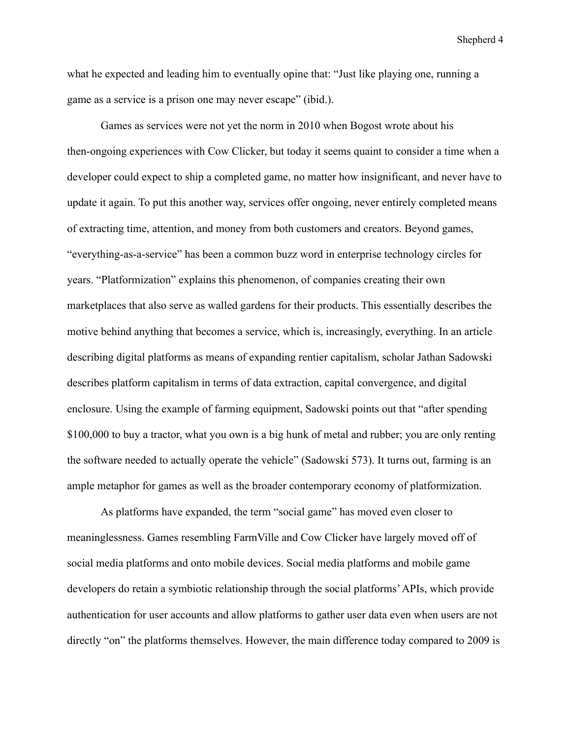what he expected and leading him to eventually opine that: "Just like playing one, running a game as a service is a prison one may never escape" (ibid.).

Games as services were not yet the norm in 2010 when Bogost wrote about his then-ongoing experiences with Cow Clicker, but today it seems quaint to consider a time when a developer could expect to ship a completed game, no matter how insignificant, and never have to update it again. To put this another way, services offer ongoing, never entirely completed means of extracting time, attention, and money from both customers and creators. Beyond games, "everything-as-a-service" has been a common buzz word in enterprise technology circles for years. "Platformization" explains this phenomenon, of companies creating their own marketplaces that also serve as walled gardens for their products. This essentially describes the motive behind anything that becomes a service, which is, increasingly, everything. In an article describing digital platforms as means of expanding rentier capitalism, scholar Jathan Sadowski describes platform capitalism in terms of data extraction, capital convergence, and digital enclosure. Using the example of farming equipment, Sadowski points out that "after spending \$100,000 to buy a tractor, what you own is a big hunk of metal and rubber; you are only renting the software needed to actually operate the vehicle" (Sadowski 573). It turns out, farming is an ample metaphor for games as well as the broader contemporary economy of platformization.

As platforms have expanded, the term "social game" has moved even closer to meaninglessness. Games resembling FarmVille and Cow Clicker have largely moved off of social media platforms and onto mobile devices. Social media platforms and mobile game developers do retain a symbiotic relationship through the social platforms'APIs, which provide authentication for user accounts and allow platforms to gather user data even when users are not directly "on" the platforms themselves. However, the main difference today compared to 2009 is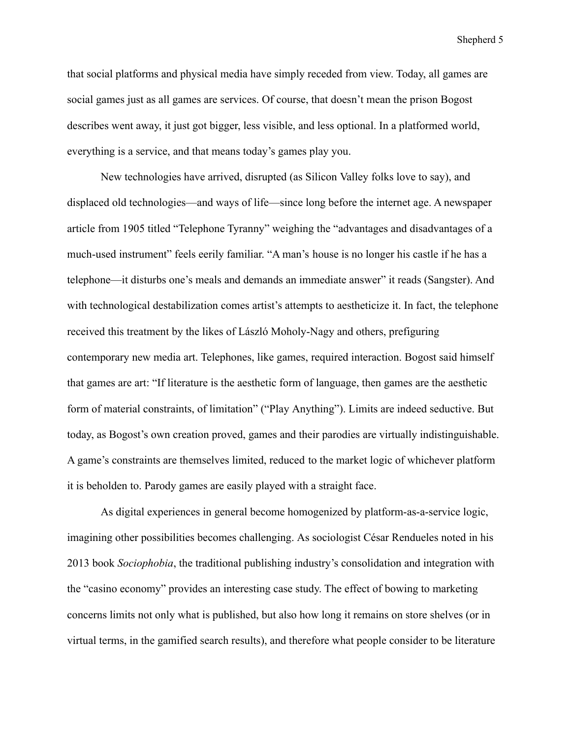that social platforms and physical media have simply receded from view. Today, all games are social games just as all games are services. Of course, that doesn't mean the prison Bogost describes went away, it just got bigger, less visible, and less optional. In a platformed world, everything is a service, and that means today's games play you.

New technologies have arrived, disrupted (as Silicon Valley folks love to say), and displaced old technologies—and ways of life—since long before the internet age. A newspaper article from 1905 titled "Telephone Tyranny" weighing the "advantages and disadvantages of a much-used instrument" feels eerily familiar. "A man's house is no longer his castle if he has a telephone—it disturbs one's meals and demands an immediate answer" it reads (Sangster). And with technological destabilization comes artist's attempts to aestheticize it. In fact, the telephone received this treatment by the likes of László Moholy-Nagy and others, prefiguring contemporary new media art. Telephones, like games, required interaction. Bogost said himself that games are art: "If literature is the aesthetic form of language, then games are the aesthetic form of material constraints, of limitation" ("Play Anything"). Limits are indeed seductive. But today, as Bogost's own creation proved, games and their parodies are virtually indistinguishable. A game's constraints are themselves limited, reduced to the market logic of whichever platform it is beholden to. Parody games are easily played with a straight face.

As digital experiences in general become homogenized by platform-as-a-service logic, imagining other possibilities becomes challenging. As sociologist César Rendueles noted in his 2013 book *Sociophobia*, the traditional publishing industry's consolidation and integration with the "casino economy" provides an interesting case study. The effect of bowing to marketing concerns limits not only what is published, but also how long it remains on store shelves (or in virtual terms, in the gamified search results), and therefore what people consider to be literature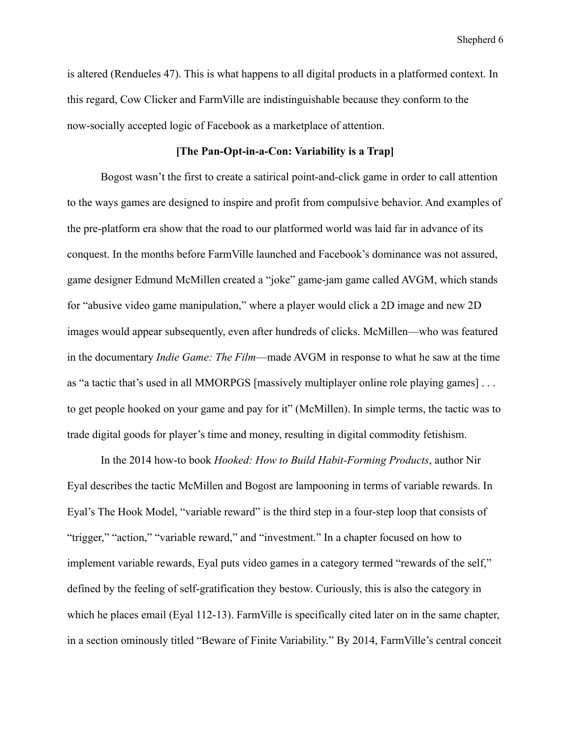is altered (Rendueles 47). This is what happens to all digital products in a platformed context. In this regard, Cow Clicker and FarmVille are indistinguishable because they conform to the now-socially accepted logic of Facebook as a marketplace of attention.

# **[The Pan-Opt-in-a-Con: Variability is a Trap]**

Bogost wasn't the first to create a satirical point-and-click game in order to call attention to the ways games are designed to inspire and profit from compulsive behavior. And examples of the pre-platform era show that the road to our platformed world was laid far in advance of its conquest. In the months before FarmVille launched and Facebook's dominance was not assured, game designer Edmund McMillen created a "joke" game-jam game called AVGM, which stands for "abusive video game manipulation," where a player would click a 2D image and new 2D images would appear subsequently, even after hundreds of clicks. McMillen—who was featured in the documentary *Indie Game: The Film*—made AVGM in response to what he saw at the time as "a tactic that's used in all MMORPGS [massively multiplayer online role playing games] . . . to get people hooked on your game and pay for it" (McMillen). In simple terms, the tactic was to trade digital goods for player's time and money, resulting in digital commodity fetishism.

In the 2014 how-to book *Hooked: How to Build Habit-Forming Products*, author Nir Eyal describes the tactic McMillen and Bogost are lampooning in terms of variable rewards. In Eyal's The Hook Model, "variable reward" is the third step in a four-step loop that consists of "trigger," "action," "variable reward," and "investment." In a chapter focused on how to implement variable rewards, Eyal puts video games in a category termed "rewards of the self," defined by the feeling of self-gratification they bestow. Curiously, this is also the category in which he places email (Eyal 112-13). FarmVille is specifically cited later on in the same chapter, in a section ominously titled "Beware of Finite Variability." By 2014, FarmVille's central conceit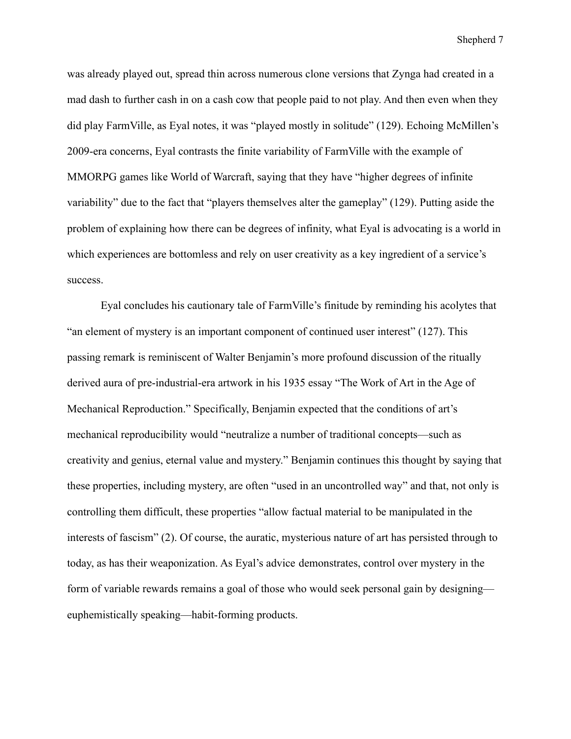was already played out, spread thin across numerous clone versions that Zynga had created in a mad dash to further cash in on a cash cow that people paid to not play. And then even when they did play FarmVille, as Eyal notes, it was "played mostly in solitude" (129). Echoing McMillen's 2009-era concerns, Eyal contrasts the finite variability of FarmVille with the example of MMORPG games like World of Warcraft, saying that they have "higher degrees of infinite variability" due to the fact that "players themselves alter the gameplay" (129). Putting aside the problem of explaining how there can be degrees of infinity, what Eyal is advocating is a world in which experiences are bottomless and rely on user creativity as a key ingredient of a service's success.

Eyal concludes his cautionary tale of FarmVille's finitude by reminding his acolytes that "an element of mystery is an important component of continued user interest" (127). This passing remark is reminiscent of Walter Benjamin's more profound discussion of the ritually derived aura of pre-industrial-era artwork in his 1935 essay "The Work of Art in the Age of Mechanical Reproduction." Specifically, Benjamin expected that the conditions of art's mechanical reproducibility would "neutralize a number of traditional concepts—such as creativity and genius, eternal value and mystery." Benjamin continues this thought by saying that these properties, including mystery, are often "used in an uncontrolled way" and that, not only is controlling them difficult, these properties "allow factual material to be manipulated in the interests of fascism" (2). Of course, the auratic, mysterious nature of art has persisted through to today, as has their weaponization. As Eyal's advice demonstrates, control over mystery in the form of variable rewards remains a goal of those who would seek personal gain by designing euphemistically speaking—habit-forming products.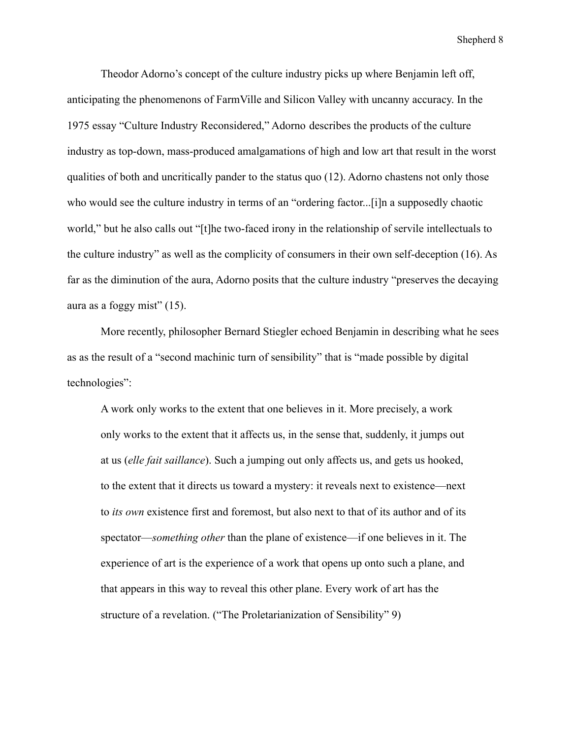Theodor Adorno's concept of the culture industry picks up where Benjamin left off, anticipating the phenomenons of FarmVille and Silicon Valley with uncanny accuracy. In the 1975 essay "Culture Industry Reconsidered," Adorno describes the products of the culture industry as top-down, mass-produced amalgamations of high and low art that result in the worst qualities of both and uncritically pander to the status quo (12). Adorno chastens not only those who would see the culture industry in terms of an "ordering factor...[i]n a supposedly chaotic world," but he also calls out "[t]he two-faced irony in the relationship of servile intellectuals to the culture industry" as well as the complicity of consumers in their own self-deception (16). As far as the diminution of the aura, Adorno posits that the culture industry "preserves the decaying aura as a foggy mist" (15).

More recently, philosopher Bernard Stiegler echoed Benjamin in describing what he sees as as the result of a "second machinic turn of sensibility" that is "made possible by digital technologies":

A work only works to the extent that one believes in it. More precisely, a work only works to the extent that it affects us, in the sense that, suddenly, it jumps out at us (*elle fait saillance*). Such a jumping out only affects us, and gets us hooked, to the extent that it directs us toward a mystery: it reveals next to existence—next to *its own* existence first and foremost, but also next to that of its author and of its spectator—*something other* than the plane of existence—if one believes in it. The experience of art is the experience of a work that opens up onto such a plane, and that appears in this way to reveal this other plane. Every work of art has the structure of a revelation. ("The Proletarianization of Sensibility" 9)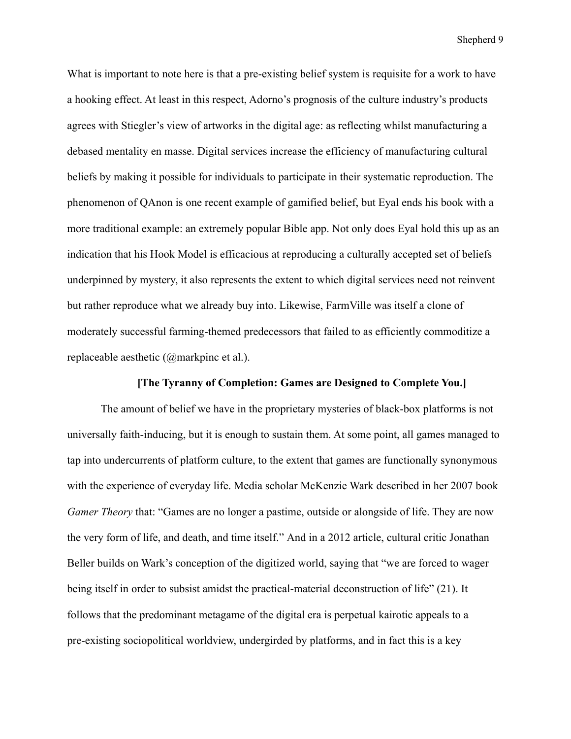What is important to note here is that a pre-existing belief system is requisite for a work to have a hooking effect. At least in this respect, Adorno's prognosis of the culture industry's products agrees with Stiegler's view of artworks in the digital age: as reflecting whilst manufacturing a debased mentality en masse. Digital services increase the efficiency of manufacturing cultural beliefs by making it possible for individuals to participate in their systematic reproduction. The phenomenon of QAnon is one recent example of gamified belief, but Eyal ends his book with a more traditional example: an extremely popular Bible app. Not only does Eyal hold this up as an indication that his Hook Model is efficacious at reproducing a culturally accepted set of beliefs underpinned by mystery, it also represents the extent to which digital services need not reinvent but rather reproduce what we already buy into. Likewise, FarmVille was itself a clone of moderately successful farming-themed predecessors that failed to as efficiently commoditize a replaceable aesthetic (@markpinc et al.).

# **[The Tyranny of Completion: Games are Designed to Complete You.]**

The amount of belief we have in the proprietary mysteries of black-box platforms is not universally faith-inducing, but it is enough to sustain them. At some point, all games managed to tap into undercurrents of platform culture, to the extent that games are functionally synonymous with the experience of everyday life. Media scholar McKenzie Wark described in her 2007 book *Gamer Theory* that: "Games are no longer a pastime, outside or alongside of life. They are now the very form of life, and death, and time itself." And in a 2012 article, cultural critic Jonathan Beller builds on Wark's conception of the digitized world, saying that "we are forced to wager being itself in order to subsist amidst the practical-material deconstruction of life" (21). It follows that the predominant metagame of the digital era is perpetual kairotic appeals to a pre-existing sociopolitical worldview, undergirded by platforms, and in fact this is a key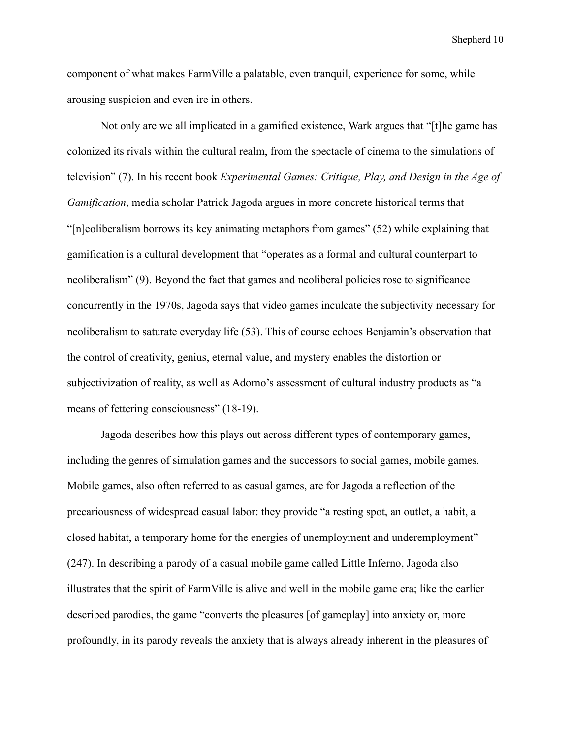component of what makes FarmVille a palatable, even tranquil, experience for some, while arousing suspicion and even ire in others.

Not only are we all implicated in a gamified existence, Wark argues that "[t]he game has colonized its rivals within the cultural realm, from the spectacle of cinema to the simulations of television" (7). In his recent book *Experimental Games: Critique, Play, and Design in the Age of Gamification*, media scholar Patrick Jagoda argues in more concrete historical terms that "[n]eoliberalism borrows its key animating metaphors from games" (52) while explaining that gamification is a cultural development that "operates as a formal and cultural counterpart to neoliberalism" (9). Beyond the fact that games and neoliberal policies rose to significance concurrently in the 1970s, Jagoda says that video games inculcate the subjectivity necessary for neoliberalism to saturate everyday life (53). This of course echoes Benjamin's observation that the control of creativity, genius, eternal value, and mystery enables the distortion or subjectivization of reality, as well as Adorno's assessment of cultural industry products as "a means of fettering consciousness" (18-19).

Jagoda describes how this plays out across different types of contemporary games, including the genres of simulation games and the successors to social games, mobile games. Mobile games, also often referred to as casual games, are for Jagoda a reflection of the precariousness of widespread casual labor: they provide "a resting spot, an outlet, a habit, a closed habitat, a temporary home for the energies of unemployment and underemployment" (247). In describing a parody of a casual mobile game called Little Inferno, Jagoda also illustrates that the spirit of FarmVille is alive and well in the mobile game era; like the earlier described parodies, the game "converts the pleasures [of gameplay] into anxiety or, more profoundly, in its parody reveals the anxiety that is always already inherent in the pleasures of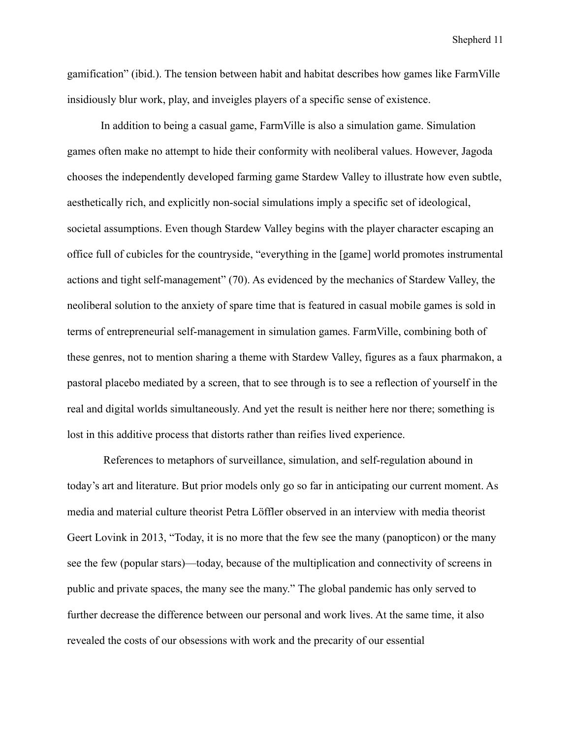gamification" (ibid.). The tension between habit and habitat describes how games like FarmVille insidiously blur work, play, and inveigles players of a specific sense of existence.

In addition to being a casual game, FarmVille is also a simulation game. Simulation games often make no attempt to hide their conformity with neoliberal values. However, Jagoda chooses the independently developed farming game Stardew Valley to illustrate how even subtle, aesthetically rich, and explicitly non-social simulations imply a specific set of ideological, societal assumptions. Even though Stardew Valley begins with the player character escaping an office full of cubicles for the countryside, "everything in the [game] world promotes instrumental actions and tight self-management" (70). As evidenced by the mechanics of Stardew Valley, the neoliberal solution to the anxiety of spare time that is featured in casual mobile games is sold in terms of entrepreneurial self-management in simulation games. FarmVille, combining both of these genres, not to mention sharing a theme with Stardew Valley, figures as a faux pharmakon, a pastoral placebo mediated by a screen, that to see through is to see a reflection of yourself in the real and digital worlds simultaneously. And yet the result is neither here nor there; something is lost in this additive process that distorts rather than reifies lived experience.

References to metaphors of surveillance, simulation, and self-regulation abound in today's art and literature. But prior models only go so far in anticipating our current moment. As media and material culture theorist Petra Löffler observed in an interview with media theorist Geert Lovink in 2013, "Today, it is no more that the few see the many (panopticon) or the many see the few (popular stars)—today, because of the multiplication and connectivity of screens in public and private spaces, the many see the many." The global pandemic has only served to further decrease the difference between our personal and work lives. At the same time, it also revealed the costs of our obsessions with work and the precarity of our essential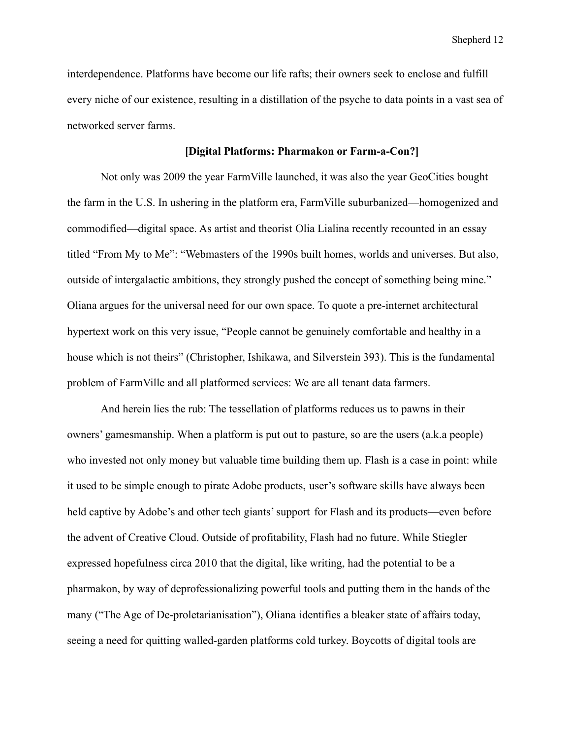interdependence. Platforms have become our life rafts; their owners seek to enclose and fulfill every niche of our existence, resulting in a distillation of the psyche to data points in a vast sea of networked server farms.

## **[Digital Platforms: Pharmakon or Farm-a-Con?]**

Not only was 2009 the year FarmVille launched, it was also the year GeoCities bought the farm in the U.S. In ushering in the platform era, FarmVille suburbanized—homogenized and commodified—digital space. As artist and theorist Olia Lialina recently recounted in an essay titled "From My to Me": "Webmasters of the 1990s built homes, worlds and universes. But also, outside of intergalactic ambitions, they strongly pushed the concept of something being mine." Oliana argues for the universal need for our own space. To quote a pre-internet architectural hypertext work on this very issue, "People cannot be genuinely comfortable and healthy in a house which is not theirs" (Christopher, Ishikawa, and Silverstein 393). This is the fundamental problem of FarmVille and all platformed services: We are all tenant data farmers.

And herein lies the rub: The tessellation of platforms reduces us to pawns in their owners' gamesmanship. When a platform is put out to pasture, so are the users (a.k.a people) who invested not only money but valuable time building them up. Flash is a case in point: while it used to be simple enough to pirate Adobe products, user's software skills have always been held captive by Adobe's and other tech giants' support for Flash and its products—even before the advent of Creative Cloud. Outside of profitability, Flash had no future. While Stiegler expressed hopefulness circa 2010 that the digital, like writing, had the potential to be a pharmakon, by way of deprofessionalizing powerful tools and putting them in the hands of the many ("The Age of De-proletarianisation"), Oliana identifies a bleaker state of affairs today, seeing a need for quitting walled-garden platforms cold turkey. Boycotts of digital tools are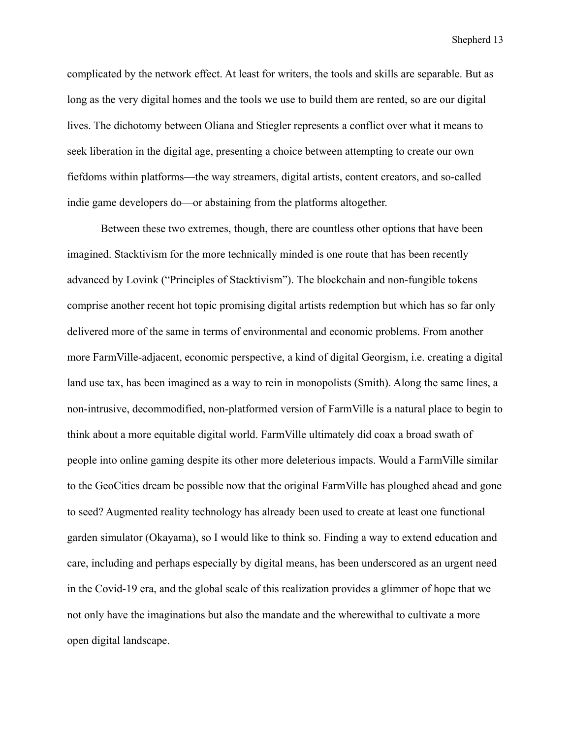complicated by the network effect. At least for writers, the tools and skills are separable. But as long as the very digital homes and the tools we use to build them are rented, so are our digital lives. The dichotomy between Oliana and Stiegler represents a conflict over what it means to seek liberation in the digital age, presenting a choice between attempting to create our own fiefdoms within platforms—the way streamers, digital artists, content creators, and so-called indie game developers do—or abstaining from the platforms altogether.

Between these two extremes, though, there are countless other options that have been imagined. Stacktivism for the more technically minded is one route that has been recently advanced by Lovink ("Principles of Stacktivism"). The blockchain and non-fungible tokens comprise another recent hot topic promising digital artists redemption but which has so far only delivered more of the same in terms of environmental and economic problems. From another more FarmVille-adjacent, economic perspective, a kind of digital Georgism, i.e. creating a digital land use tax, has been imagined as a way to rein in monopolists (Smith). Along the same lines, a non-intrusive, decommodified, non-platformed version of FarmVille is a natural place to begin to think about a more equitable digital world. FarmVille ultimately did coax a broad swath of people into online gaming despite its other more deleterious impacts. Would a FarmVille similar to the GeoCities dream be possible now that the original FarmVille has ploughed ahead and gone to seed? Augmented reality technology has already been used to create at least one functional garden simulator (Okayama), so I would like to think so. Finding a way to extend education and care, including and perhaps especially by digital means, has been underscored as an urgent need in the Covid-19 era, and the global scale of this realization provides a glimmer of hope that we not only have the imaginations but also the mandate and the wherewithal to cultivate a more open digital landscape.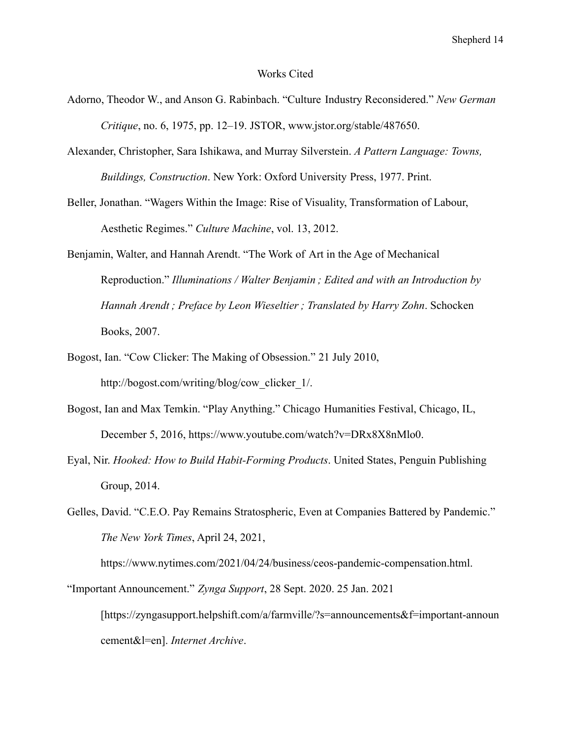#### Works Cited

- Adorno, Theodor W., and Anson G. Rabinbach. "Culture Industry Reconsidered." *New German Critique*, no. 6, 1975, pp. 12–19. JSTOR, www.jstor.org/stable/487650.
- Alexander, Christopher, Sara Ishikawa, and Murray Silverstein. *A Pattern Language: Towns, Buildings, Construction*. New York: Oxford University Press, 1977. Print.
- Beller, Jonathan. "Wagers Within the Image: Rise of Visuality, Transformation of Labour, Aesthetic Regimes." *Culture Machine*, vol. 13, 2012.
- Benjamin, Walter, and Hannah Arendt. "The Work of Art in the Age of Mechanical Reproduction." *Illuminations / Walter Benjamin ; Edited and with an Introduction by Hannah Arendt ; Preface by Leon Wieseltier ; Translated by Harry Zohn*. Schocken Books, 2007.
- Bogost, Ian. "Cow Clicker: The Making of Obsession." 21 July 2010, http://bogost.com/writing/blog/cow\_clicker\_1/.
- Bogost, Ian and Max Temkin. "Play Anything." Chicago Humanities Festival, Chicago, IL, December 5, 2016, https://www.youtube.com/watch?v=DRx8X8nMlo0.
- Eyal, Nir. *Hooked: How to Build Habit-Forming Products*. United States, Penguin Publishing Group, 2014.
- Gelles, David. "C.E.O. Pay Remains Stratospheric, Even at Companies Battered by Pandemic." *The New York Times*, April 24, 2021,

https://www.nytimes.com/2021/04/24/business/ceos-pandemic-compensation.html.

<sup>&</sup>quot;Important Announcement." *Zynga Support*, 28 Sept. 2020. 25 Jan. 2021 [https://zyngasupport.helpshift.com/a/farmville/?s=announcements&f=important-announ cement&l=en]. *Internet Archive*.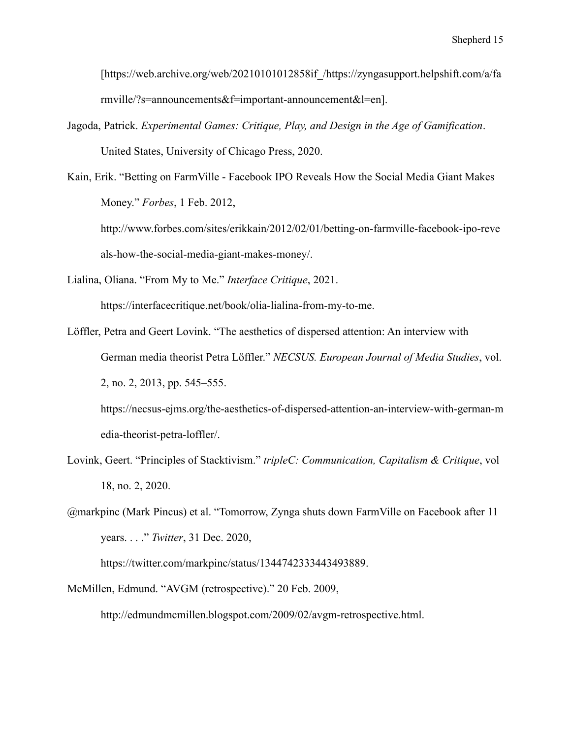[https://web.archive.org/web/20210101012858if\_/https://zyngasupport.helpshift.com/a/fa rmville/?s=announcements&f=important-announcement&l=en].

- Jagoda, Patrick. *Experimental Games: Critique, Play, and Design in the Age of Gamification*. United States, University of Chicago Press, 2020.
- Kain, Erik. "Betting on FarmVille Facebook IPO Reveals How the Social Media Giant Makes Money." *Forbes*, 1 Feb. 2012,

http://www.forbes.com/sites/erikkain/2012/02/01/betting-on-farmville-facebook-ipo-reve als-how-the-social-media-giant-makes-money/.

Lialina, Oliana. "From My to Me." *Interface Critique*, 2021.

https://interfacecritique.net/book/olia-lialina-from-my-to-me.

Löffler, Petra and Geert Lovink. "The aesthetics of dispersed attention: An interview with German media theorist Petra Löffler." *NECSUS. European Journal of Media Studies*, vol. 2, no. 2, 2013, pp. 545–555.

https://necsus-ejms.org/the-aesthetics-of-dispersed-attention-an-interview-with-german-m edia-theorist-petra-loffler/.

- Lovink, Geert. "Principles of Stacktivism." *tripleC: Communication, Capitalism & Critique*, vol 18, no. 2, 2020.
- @markpinc (Mark Pincus) et al. "Tomorrow, Zynga shuts down FarmVille on Facebook after 11 years. . . ." *Twitter*, 31 Dec. 2020,

https://twitter.com/markpinc/status/1344742333443493889.

McMillen, Edmund. "AVGM (retrospective)." 20 Feb. 2009,

http://edmundmcmillen.blogspot.com/2009/02/avgm-retrospective.html.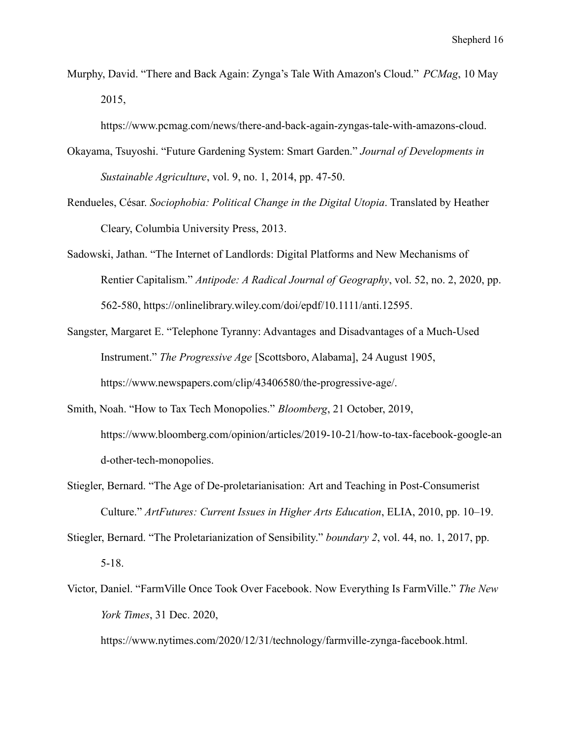Murphy, David. "There and Back Again: Zynga's Tale With Amazon's Cloud." *PCMag*, 10 May 2015,

https://www.pcmag.com/news/there-and-back-again-zyngas-tale-with-amazons-cloud.

- Okayama, Tsuyoshi. "Future Gardening System: Smart Garden." *Journal of Developments in Sustainable Agriculture*, vol. 9, no. 1, 2014, pp. 47-50.
- Rendueles, César. *Sociophobia: Political Change in the Digital Utopia*. Translated by Heather Cleary, Columbia University Press, 2013.
- Sadowski, Jathan. "The Internet of Landlords: Digital Platforms and New Mechanisms of Rentier Capitalism." *Antipode: A Radical Journal of Geography*, vol. 52, no. 2, 2020, pp. 562-580, https://onlinelibrary.wiley.com/doi/epdf/10.1111/anti.12595.
- Sangster, Margaret E. "Telephone Tyranny: Advantages and Disadvantages of a Much-Used Instrument." *The Progressive Age* [Scottsboro, Alabama], 24 August 1905, https://www.newspapers.com/clip/43406580/the-progressive-age/.
- Smith, Noah. "How to Tax Tech Monopolies." *Bloomberg*, 21 October, 2019, https://www.bloomberg.com/opinion/articles/2019-10-21/how-to-tax-facebook-google-an d-other-tech-monopolies.
- Stiegler, Bernard. "The Age of De-proletarianisation: Art and Teaching in Post-Consumerist Culture." *ArtFutures: Current Issues in Higher Arts Education*, ELIA, 2010, pp. 10–19.
- Stiegler, Bernard. "The Proletarianization of Sensibility." *boundary 2*, vol. 44, no. 1, 2017, pp. 5-18.
- Victor, Daniel. "FarmVille Once Took Over Facebook. Now Everything Is FarmVille." *The New York Times*, 31 Dec. 2020,

https://www.nytimes.com/2020/12/31/technology/farmville-zynga-facebook.html.